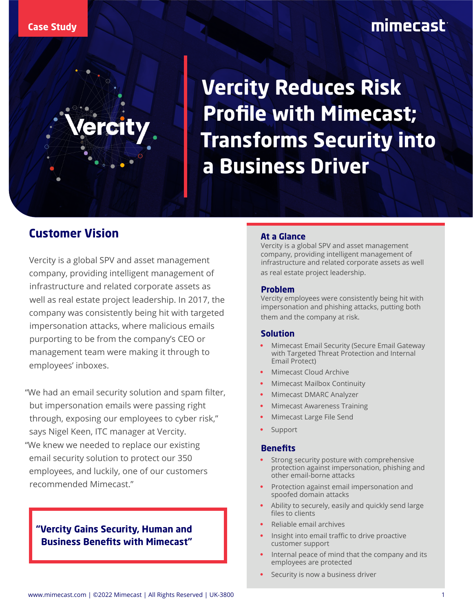**Vercity Reduces Risk Profile with Mimecast; Transforms Security into a Business Driver**

### **Customer Vision**

Vercity is a global SPV and asset management company, providing intelligent management of infrastructure and related corporate assets as well as real estate project leadership. In 2017, the company was consistently being hit with targeted impersonation attacks, where malicious emails purporting to be from the company's CEO or management team were making it through to employees' inboxes.

"We had an email security solution and spam filter, but impersonation emails were passing right through, exposing our employees to cyber risk," says Nigel Keen, ITC manager at Vercity. "We knew we needed to replace our existing email security solution to protect our 350 employees, and luckily, one of our customers recommended Mimecast."

### **"Vercity Gains Security, Human and Business Benefits with Mimecast"**

#### **At a Glance**

Vercity is a global SPV and asset management company, providing intelligent management of infrastructure and related corporate assets as well as real estate project leadership.

#### **Problem**

Vercity employees were consistently being hit with impersonation and phishing attacks, putting both them and the company at risk.

#### **Solution**

- Mimecast Email Security (Secure Email Gateway with Targeted Threat Protection and Internal Email Protect)
- Mimecast Cloud Archive
- Mimecast Mailbox Continuity
- Mimecast DMARC Analyzer
- Mimecast Awareness Training
- Mimecast Large File Send
- **Support**

#### **Benefits**

- Strong security posture with comprehensive protection against impersonation, phishing and other email-borne attacks
- Protection against email impersonation and spoofed domain attacks
- Ability to securely, easily and quickly send large files to clients
- Reliable email archives
- Insight into email traffic to drive proactive customer support
- Internal peace of mind that the company and its employees are protected
- Security is now a business driver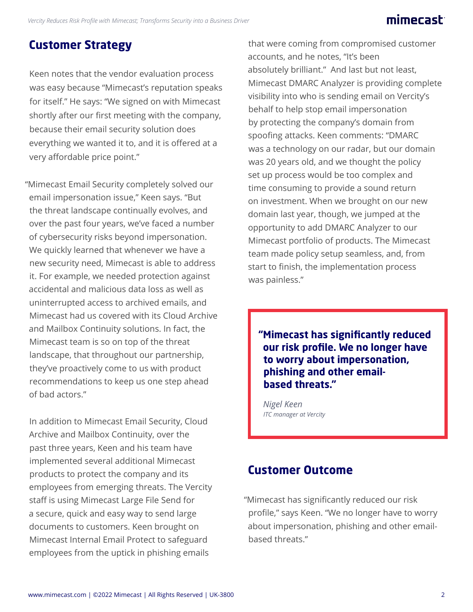## mimecast:

# **Customer Strategy**

Keen notes that the vendor evaluation process was easy because "Mimecast's reputation speaks for itself." He says: "We signed on with Mimecast shortly after our first meeting with the company, because their email security solution does everything we wanted it to, and it is offered at a very affordable price point."

"Mimecast Email Security completely solved our email impersonation issue," Keen says. "But the threat landscape continually evolves, and over the past four years, we've faced a number of cybersecurity risks beyond impersonation. We quickly learned that whenever we have a new security need, Mimecast is able to address it. For example, we needed protection against accidental and malicious data loss as well as uninterrupted access to archived emails, and Mimecast had us covered with its Cloud Archive and Mailbox Continuity solutions. In fact, the Mimecast team is so on top of the threat landscape, that throughout our partnership, they've proactively come to us with product recommendations to keep us one step ahead of bad actors."

In addition to Mimecast Email Security, Cloud Archive and Mailbox Continuity, over the past three years, Keen and his team have implemented several additional Mimecast products to protect the company and its employees from emerging threats. The Vercity staff is using Mimecast Large File Send for a secure, quick and easy way to send large documents to customers. Keen brought on Mimecast Internal Email Protect to safeguard employees from the uptick in phishing emails

that were coming from compromised customer accounts, and he notes, "It's been absolutely brilliant." And last but not least, Mimecast DMARC Analyzer is providing complete visibility into who is sending email on Vercity's behalf to help stop email impersonation by protecting the company's domain from spoofing attacks. Keen comments: "DMARC was a technology on our radar, but our domain was 20 years old, and we thought the policy set up process would be too complex and time consuming to provide a sound return on investment. When we brought on our new domain last year, though, we jumped at the opportunity to add DMARC Analyzer to our Mimecast portfolio of products. The Mimecast team made policy setup seamless, and, from start to finish, the implementation process was painless."

**"Mimecast has significantly reduced our risk profile. We no longer have to worry about impersonation, phishing and other emailbased threats."**

*Nigel Keen ITC manager at Vercity*

### **Customer Outcome**

"Mimecast has significantly reduced our risk profile," says Keen. "We no longer have to worry about impersonation, phishing and other emailbased threats."